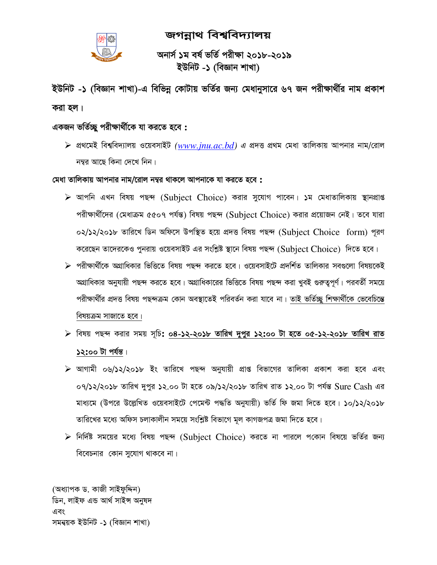

# জগন্নাথ বিশ্ববিদ্যালয়

অনাৰ্স ১ম বৰ্ষ ভৰ্তি পরীক্ষা ২০১৮-২০১৯ ইউনিট -১ (বিজ্ঞান শাখা)

ইউনিট -১ (বিজ্ঞান শাখা)-এ বিভিন্ন কোটায় ভর্তির জন্য মেধানুসারে ৬৭ জন পরীক্ষার্থীর নাম প্রকাশ করা হল।

# একজন ভৰ্তিচ্ছু পরীক্ষার্থীকে যা করতে হবে :

 $\triangleright$  প্রথমেই বিশ্ববিদ্যালয় ওয়েবসাইট (www.jnu.ac.bd) এ প্রদত্ত প্রথম মেধা তালিকায় আপনার নাম/রোল নম্বর আছে কিনা দেখে নিন।

#### মেধা তালিকায় আপনার নাম/রোল নম্বর থাকলে আপনাকে যা করতে হবে :

- $\triangleright$  আপনি এখন বিষয় পছন্দ (Subject Choice) করার সুযোগ পাবেন। ১ম মেধাতালিকায় স্থানপ্রাপ্ত পরীক্ষার্থীদের (মেধাক্রম ৫৫০৭ পর্যন্ত) বিষয় পছন্দ (Subject Choice) করার প্রয়োজন নেই। তবে যারা ০২/১২/২০১৮ তারিখে ডিন অফিসে উপস্থিত হয়ে প্রদত্ত বিষয় পছন্দ (Subject Choice form) পরণ করেছেন তাদেরকেও পুনরায় ওয়েবসাইট এর সংশ্লিষ্ট স্থানে বিষয় পছন্দ (Subject Choice) দিতে হবে।
- ⊁ পরীক্ষার্থীকে অগ্রাধিকার ভিত্তিতে বিষয় পছন্দ করতে হবে। ওয়েবসাইটে প্রদর্শিত তালিকার সবগুলো বিষয়কেই অগ্রাধিকার অনুযায়ী পছন্দ করতে হবে। অগ্রাধিকারের ভিত্তিতে বিষয় পছন্দ করা খুবই গুরুত্বপূর্ণ। পরবর্তী সময়ে পরীক্ষার্থীর প্রদত্ত বিষয় পছন্দক্রম কোন অবস্থাতেই পরিবর্তন করা যাবে না। তাই ভর্তিচ্ছু শিক্ষার্থীকে ভেবেচিন্তে বিষয়ক্রম সাজাতে হবে।
- > বিষয় পছন্দ করার সময় সূচি: ০৪-১২-২০১৮ তারিখ দুপুর ১২:০০ টা হতে ০৫-১২-২০১৮ তারিখ রাত ১২:০০ টা পৰ্যন্ত।
- ≽ আগামী ০৬/১২/২০১৮ ইং তারিখে পছন্দ অনুযায়ী প্রাপ্ত বিভাগের তালিকা প্রকাশ করা হবে এবং ০৭/১২/২০১৮ তারিখ দুপুর ১২.০০ টা হতে ০৯/১২/২০১৮ তারিখ রাত ১২.০০ টা পর্যন্ত Sure Cash এর মাধ্যমে (উপরে উল্লেখিত ওয়েবসাইটে পেমেন্ট পদ্ধতি অনুযায়ী) ভর্তি ফি জমা দিতে হবে। ১০/১২/২০১৮ তারিখের মধ্যে অফিস চলাকালীন সময়ে সংশ্লিষ্ট বিভাগে মূল কাগজপত্র জমা দিতে হবে।
- $\triangleright$  নির্দিষ্ট সময়ের মধ্যে বিষয় পছন্দ (Subject Choice) করতে না পারলে পকোন বিষয়ে ভর্তির জন্য বিবেচনার কোন সুযোগ থাকবে না।

(অধ্যাপক ড. কাজী সাইফুদ্দিন) ডিন. লাইফ এন্ড আৰ্থ সাইন্স অনুষদ এবং সমন্বয়ক ইউনিট -১ (বিজ্ঞান শাখা)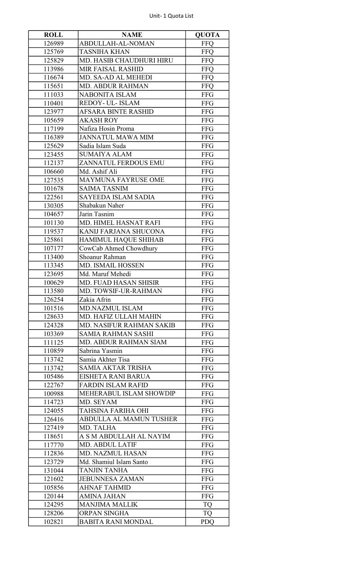## Unit- 1 Quota List

| <b>ROLL</b> | <b>NAME</b>                     | <b>QUOTA</b> |
|-------------|---------------------------------|--------------|
| 126989      | ABDULLAH-AL-NOMAN               | <b>FFQ</b>   |
| 125769      | <b>TASNIHA KHAN</b>             | <b>FFQ</b>   |
| 125829      | <b>MD. HASIB CHAUDHURI HIRU</b> | <b>FFQ</b>   |
| 113986      | <b>MIR FAISAL RASHID</b>        | <b>FFO</b>   |
| 116674      | MD. SA-AD AL MEHEDI             | <b>FFQ</b>   |
| 115651      | <b>MD. ABDUR RAHMAN</b>         | <b>FFQ</b>   |
| 111033      | <b>NABONITA ISLAM</b>           | <b>FFG</b>   |
| 110401      | REDOY- UL- ISLAM                | <b>FFG</b>   |
| 123977      | <b>AFSARA BINTE RASHID</b>      | <b>FFG</b>   |
| 105659      | <b>AKASH ROY</b>                | <b>FFG</b>   |
| 117199      | Nafiza Hosin Proma              | <b>FFG</b>   |
| 116389      | <b>JANNATUL MAWA MIM</b>        | <b>FFG</b>   |
| 125629      | Sadia Islam Suda                | <b>FFG</b>   |
| 123455      | <b>SUMAIYA ALAM</b>             | <b>FFG</b>   |
|             |                                 |              |
| 112137      | ZANNATUL FERDOUS EMU            | <b>FFG</b>   |
| 106660      | Md. Ashif Ali                   | <b>FFG</b>   |
| 127535      | <b>MAYMUNA FAYRUSE OME</b>      | <b>FFG</b>   |
| 101678      | <b>SAIMA TASNIM</b>             | <b>FFG</b>   |
| 122561      | <b>SAYEEDA ISLAM SADIA</b>      | <b>FFG</b>   |
| 130305      | Shabakun Naher                  | <b>FFG</b>   |
| 104657      | Jarin Tasnim                    | <b>FFG</b>   |
| 101130      | MD. HIMEL HASNAT RAFI           | <b>FFG</b>   |
| 119537      | KANIJ FARJANA SHUCONA           | <b>FFG</b>   |
| 125861      | HAMIMUL HAQUE SHIHAB            | <b>FFG</b>   |
| 107177      | CowCab Ahmed Chowdhury          | <b>FFG</b>   |
| 113400      | Shoanur Rahman                  | <b>FFG</b>   |
| 113345      | <b>MD. ISMAIL HOSSEN</b>        | <b>FFG</b>   |
| 123695      | Md. Maruf Mehedi                | <b>FFG</b>   |
| 100629      | MD. FUAD HASAN SHISIR           | <b>FFG</b>   |
| 113580      | MD. TOWSIF-UR-RAHMAN            | <b>FFG</b>   |
| 126254      | Zakia Afrin                     | <b>FFG</b>   |
| 101516      | <b>MD.NAZMUL ISLAM</b>          | <b>FFG</b>   |
| 128633      | MD. HAFIZ ULLAH MAHIN           | <b>FFG</b>   |
| 124328      | <b>MD. NASIFUR RAHMAN SAKIB</b> | <b>FFG</b>   |
| 103369      | <b>SAMIA RAHMAN SASHI</b>       | <b>FFG</b>   |
| 111125      | <b>MD. ABDUR RAHMAN SIAM</b>    | <b>FFG</b>   |
| 110859      | Sabrina Yasmin                  | <b>FFG</b>   |
| 113742      | Samia Akhter Tisa               | <b>FFG</b>   |
| 113742      | <b>SAMIA AKTAR TRISHA</b>       | <b>FFG</b>   |
| 105486      | EISHETA RANI BARUA              | <b>FFG</b>   |
| 122767      | <b>FARDIN ISLAM RAFID</b>       | <b>FFG</b>   |
| 100988      | MEHERABUL ISLAM SHOWDIP         | <b>FFG</b>   |
| 114723      | MD. SEYAM                       | <b>FFG</b>   |
| 124055      | TAHSINA FARIHA OHI              | <b>FFG</b>   |
| 126416      | <b>ABDULLA AL MAMUN TUSHER</b>  | <b>FFG</b>   |
|             |                                 |              |
| 127419      | MD. TALHA                       | <b>FFG</b>   |
| 118651      | A S M ABDULLAH AL NAYIM         | <b>FFG</b>   |
| 117770      | <b>MD. ABDUL LATIF</b>          | <b>FFG</b>   |
| 112836      | <b>MD. NAZMUL HASAN</b>         | <b>FFG</b>   |
| 123729      | Md. Shamiul Islam Santo         | <b>FFG</b>   |
| 131044      | <b>TANJIN TANHA</b>             | <b>FFG</b>   |
| 121602      | <b>JEBUNNESA ZAMAN</b>          | <b>FFG</b>   |
| 105856      | <b>AHNAF TAHMID</b>             | <b>FFG</b>   |
| 120144      | AMINA JAHAN                     | <b>FFG</b>   |
| 124295      | <b>MANJIMA MALLIK</b>           | <b>TQ</b>    |
| 128206      | ORPAN SINGHA                    | <b>TQ</b>    |
| 102821      | <b>BABITA RANI MONDAL</b>       | <b>PDQ</b>   |